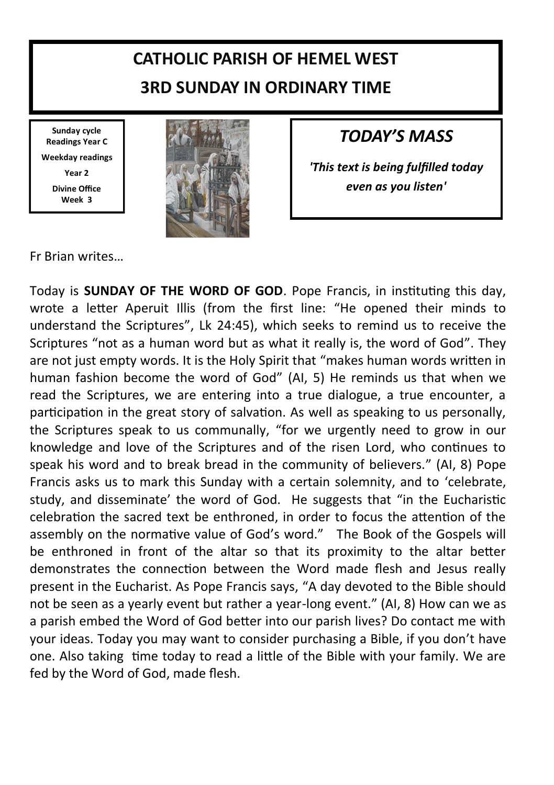# **CATHOLIC PARISH OF HEMEL WEST 3RD SUNDAY IN ORDINARY TIME**

**Sunday cycle Readings Year C Weekday readings Year 2 Divine Office Week 3**



## *TODAY'S MASS*

*'This text is being fulfilled today even as you listen'*

Fr Brian writes…

Today is **SUNDAY OF THE WORD OF GOD**. Pope Francis, in instituting this day, wrote a letter Aperuit Illis (from the first line: "He opened their minds to understand the Scriptures", Lk 24:45), which seeks to remind us to receive the Scriptures "not as a human word but as what it really is, the word of God". They are not just empty words. It is the Holy Spirit that "makes human words written in human fashion become the word of God" (AI, 5) He reminds us that when we read the Scriptures, we are entering into a true dialogue, a true encounter, a participation in the great story of salvation. As well as speaking to us personally, the Scriptures speak to us communally, "for we urgently need to grow in our knowledge and love of the Scriptures and of the risen Lord, who continues to speak his word and to break bread in the community of believers." (AI, 8) Pope Francis asks us to mark this Sunday with a certain solemnity, and to 'celebrate, study, and disseminate' the word of God. He suggests that "in the Eucharistic celebration the sacred text be enthroned, in order to focus the attention of the assembly on the normative value of God's word." The Book of the Gospels will be enthroned in front of the altar so that its proximity to the altar better demonstrates the connection between the Word made flesh and Jesus really present in the Eucharist. As Pope Francis says, "A day devoted to the Bible should not be seen as a yearly event but rather a year-long event." (AI, 8) How can we as a parish embed the Word of God better into our parish lives? Do contact me with your ideas. Today you may want to consider purchasing a Bible, if you don't have one. Also taking time today to read a little of the Bible with your family. We are fed by the Word of God, made flesh.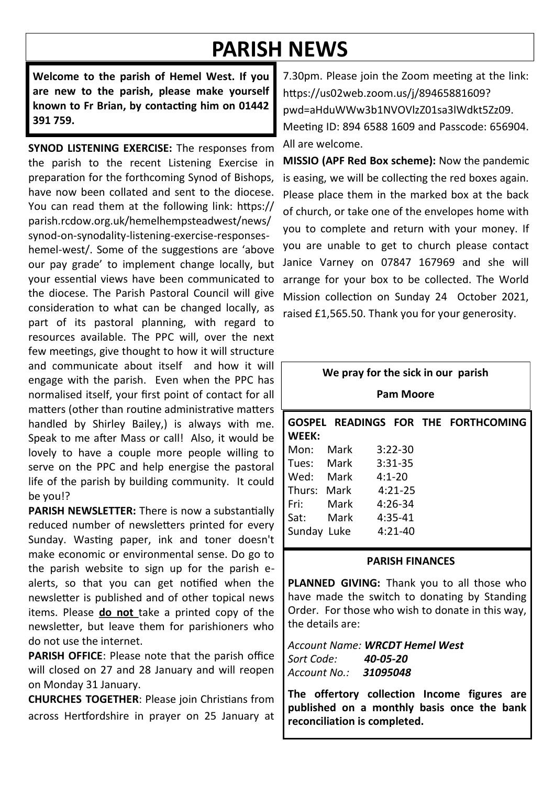# **PARISH NEWS**

**Welcome to the parish of Hemel West. If you are new to the parish, please make yourself known to Fr Brian, by contacting him on 01442 391 759.**

**SYNOD LISTENING EXERCISE:** The responses from the parish to the recent Listening Exercise in preparation for the forthcoming Synod of Bishops, have now been collated and sent to the diocese. You can read them at the following link: https:// parish.rcdow.org.uk/hemelhempsteadwest/news/ synod-on-synodality-listening-exercise-responseshemel-west/. Some of the suggestions are 'above our pay grade' to implement change locally, but your essential views have been communicated to the diocese. The Parish Pastoral Council will give consideration to what can be changed locally, as part of its pastoral planning, with regard to resources available. The PPC will, over the next few meetings, give thought to how it will structure and communicate about itself and how it will engage with the parish. Even when the PPC has normalised itself, your first point of contact for all matters (other than routine administrative matters handled by Shirley Bailey,) is always with me. Speak to me after Mass or call! Also, it would be lovely to have a couple more people willing to serve on the PPC and help energise the pastoral life of the parish by building community. It could be you!?

**PARISH NEWSLETTER:** There is now a substantially reduced number of newsletters printed for every Sunday. Wasting paper, ink and toner doesn't make economic or environmental sense. Do go to the parish website to sign up for the parish ealerts, so that you can get notified when the newsletter is published and of other topical news items. Please **do not** take a printed copy of the newsletter, but leave them for parishioners who do not use the internet.

**PARISH OFFICE**: Please note that the parish office will closed on 27 and 28 January and will reopen on Monday 31 January.

**CHURCHES TOGETHER**: Please join Christians from across Hertfordshire in prayer on 25 January at

7.30pm. Please join the Zoom meeting at the link: https://us02web.zoom.us/j/89465881609? pwd=aHduWWw3b1NVOVlzZ01sa3lWdkt5Zz09. Meeting ID: 894 6588 1609 and Passcode: 656904. All are welcome.

**MISSIO (APF Red Box scheme):** Now the pandemic is easing, we will be collecting the red boxes again. Please place them in the marked box at the back of church, or take one of the envelopes home with you to complete and return with your money. If you are unable to get to church please contact Janice Varney on 07847 167969 and she will arrange for your box to be collected. The World Mission collection on Sunday 24 October 2021, raised £1,565.50. Thank you for your generosity.

| We pray for the sick in our parish<br>Pam Moore |                    |  |                                        |  |                                     |  |  |  |
|-------------------------------------------------|--------------------|--|----------------------------------------|--|-------------------------------------|--|--|--|
|                                                 |                    |  |                                        |  | GOSPEL READINGS FOR THE FORTHCOMING |  |  |  |
| WEEK:<br>Mon:                                   | Mark<br>Tues: Mark |  | $3:22 - 30$<br>$3:31-35$               |  |                                     |  |  |  |
| Thurs: Mark<br>Fri:                             | Wed: Mark<br>Mark  |  | $4:1 - 20$<br>$4:21 - 25$<br>$4:26-34$ |  |                                     |  |  |  |
| Sunday Luke                                     | Sat: Mark 4:35-41  |  | 4:21-40                                |  |                                     |  |  |  |

#### **PARISH FINANCES**

**PLANNED GIVING:** Thank you to all those who have made the switch to donating by Standing Order. For those who wish to donate in this way, the details are:

*Account Name: WRCDT Hemel West Sort Code: 40-05-20 Account No.: 31095048*

**The offertory collection Income figures are published on a monthly basis once the bank reconciliation is completed.**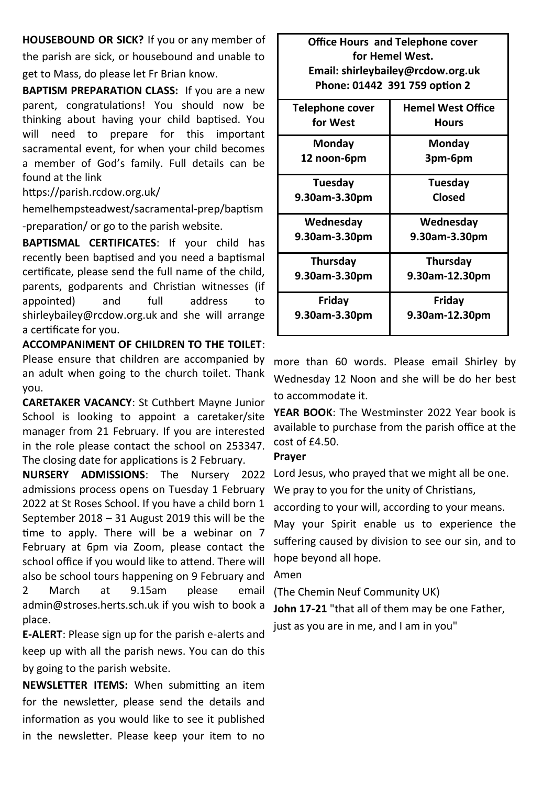**HOUSEBOUND OR SICK?** If you or any member of the parish are sick, or housebound and unable to get to Mass, do please let Fr Brian know.

**BAPTISM PREPARATION CLASS:** If you are a new parent, congratulations! You should now be thinking about having your child baptised. You will need to prepare for this important sacramental event, for when your child becomes a member of God's family. Full details can be found at the link

#### https://parish.rcdow.org.uk/

hemelhempsteadwest/sacramental-prep/baptism -preparation/ or go to the parish website.

**BAPTISMAL CERTIFICATES**: If your child has recently been baptised and you need a baptismal certificate, please send the full name of the child, parents, godparents and Christian witnesses (if appointed) and full address to shirleybailey@rcdow.org.uk and she will arrange a certificate for you.

**ACCOMPANIMENT OF CHILDREN TO THE TOILET**: Please ensure that children are accompanied by an adult when going to the church toilet. Thank you.

**CARETAKER VACANCY**: St Cuthbert Mayne Junior School is looking to appoint a caretaker/site manager from 21 February. If you are interested in the role please contact the school on 253347. The closing date for applications is 2 February.

**NURSERY ADMISSIONS**: The Nursery 2022 admissions process opens on Tuesday 1 February 2022 at St Roses School. If you have a child born 1 September 2018 – 31 August 2019 this will be the time to apply. There will be a webinar on 7 February at 6pm via Zoom, please contact the school office if you would like to attend. There will also be school tours happening on 9 February and 2 March at 9.15am please email admin@stroses.herts.sch.uk if you wish to book a place.

**E-ALERT**: Please sign up for the parish e-alerts and keep up with all the parish news. You can do this by going to the parish website.

**NEWSLETTER ITEMS:** When submitting an item for the newsletter, please send the details and information as you would like to see it published in the newsletter. Please keep your item to no

**Office Hours and Telephone cover for Hemel West. Email: shirleybailey@rcdow.org.uk Phone: 01442 391 759 option 2**

| Telephone cover<br>for West | <b>Hemel West Office</b><br>Hours |
|-----------------------------|-----------------------------------|
| Monday                      | Monday                            |
| 12 noon-6pm                 | 3pm-6pm                           |
| Tuesday                     | Tuesday                           |
| 9.30am-3.30pm               | Closed                            |
| Wednesday                   | Wednesday                         |
| 9.30am-3.30pm               | 9.30am-3.30pm                     |
| Thursday                    | Thursday                          |
| 9.30am-3.30pm               | 9.30am-12.30pm                    |
| Friday                      | Friday                            |
| 9.30am-3.30pm               | 9.30am-12.30pm                    |

more than 60 words. Please email Shirley by Wednesday 12 Noon and she will be do her best to accommodate it.

**YEAR BOOK**: The Westminster 2022 Year book is available to purchase from the parish office at the cost of £4.50.

#### **Prayer**

Lord Jesus, who prayed that we might all be one. We pray to you for the unity of Christians.

according to your will, according to your means.

May your Spirit enable us to experience the suffering caused by division to see our sin, and to hope beyond all hope.

Amen

(The Chemin Neuf Community UK)

**John 17-21** "that all of them may be one Father, just as you are in me, and I am in you"